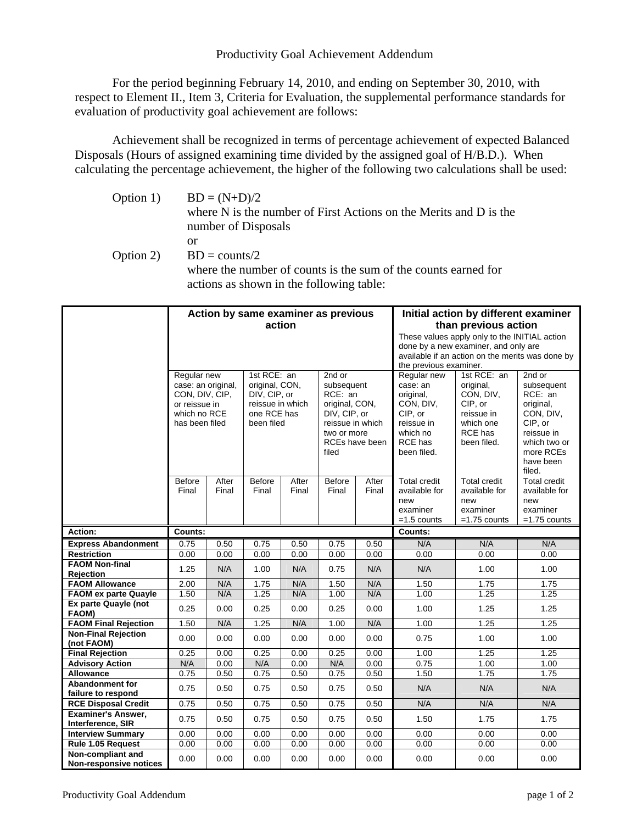## Productivity Goal Achievement Addendum

For the period beginning February 14, 2010, and ending on September 30, 2010, with respect to Element II., Item 3, Criteria for Evaluation, the supplemental performance standards for evaluation of productivity goal achievement are follows:

Achievement shall be recognized in terms of percentage achievement of expected Balanced Disposals (Hours of assigned examining time divided by the assigned goal of H/B.D.). When calculating the percentage achievement, the higher of the following two calculations shall be used:

| Option 1) | $BD = (N+D)/2$                                                    |
|-----------|-------------------------------------------------------------------|
|           | where N is the number of First Actions on the Merits and D is the |
|           | number of Disposals                                               |
|           | оr                                                                |
| Option 2) | $BD = \text{counts}/2$                                            |
|           | where the number of counts is the sum of the counts earned for    |
|           | actions as shown in the following table:                          |

|                                                                                                        | Action by same examiner as previous<br>action<br>1st RCE: an<br>2nd or |                |                                                                                 |                |                                                                                                                       |                | Initial action by different examiner<br>than previous action<br>These values apply only to the INITIAL action<br>done by a new examiner, and only are<br>available if an action on the merits was done by<br>the previous examiner.<br>1st RCE: an<br>2nd or |                                                                                        |                                                                                                                              |
|--------------------------------------------------------------------------------------------------------|------------------------------------------------------------------------|----------------|---------------------------------------------------------------------------------|----------------|-----------------------------------------------------------------------------------------------------------------------|----------------|--------------------------------------------------------------------------------------------------------------------------------------------------------------------------------------------------------------------------------------------------------------|----------------------------------------------------------------------------------------|------------------------------------------------------------------------------------------------------------------------------|
| Regular new<br>case: an original,<br>CON, DIV, CIP,<br>or reissue in<br>which no RCE<br>has been filed |                                                                        |                | original, CON,<br>DIV, CIP, or<br>reissue in which<br>one RCE has<br>been filed |                | subsequent<br>RCE: an<br>original, CON,<br>DIV, CIP, or<br>reissue in which<br>two or more<br>RCEs have been<br>filed |                | Regular new<br>case: an<br>original,<br>CON, DIV,<br>CIP, or<br>reissue in<br>which no<br>RCE has<br>been filed.                                                                                                                                             | original,<br>CON, DIV,<br>CIP, or<br>reissue in<br>which one<br>RCE has<br>been filed. | subsequent<br>RCE: an<br>original,<br>CON, DIV,<br>CIP, or<br>reissue in<br>which two or<br>more RCEs<br>have been<br>filed. |
|                                                                                                        | <b>Before</b><br>Final                                                 | After<br>Final | <b>Before</b><br>Final                                                          | After<br>Final | Before<br>Final                                                                                                       | After<br>Final | <b>Total credit</b><br>available for<br>new<br>examiner<br>$=1.5$ counts                                                                                                                                                                                     | <b>Total credit</b><br>available for<br>new<br>examiner<br>$=1.75$ counts              | <b>Total credit</b><br>available for<br>new<br>examiner<br>$=1.75$ counts                                                    |
| Action:                                                                                                | Counts:                                                                |                |                                                                                 |                |                                                                                                                       |                | Counts:                                                                                                                                                                                                                                                      |                                                                                        |                                                                                                                              |
| <b>Express Abandonment</b>                                                                             | 0.75                                                                   | 0.50           | 0.75                                                                            | 0.50           | 0.75                                                                                                                  | 0.50           | N/A                                                                                                                                                                                                                                                          | N/A                                                                                    | N/A                                                                                                                          |
| <b>Restriction</b>                                                                                     | 0.00                                                                   | 0.00           | 0.00                                                                            | 0.00           | 0.00                                                                                                                  | 0.00           | 0.00                                                                                                                                                                                                                                                         | 0.00                                                                                   | 0.00                                                                                                                         |
| <b>FAOM Non-final</b><br><b>Rejection</b>                                                              | 1.25                                                                   | N/A            | 1.00                                                                            | N/A            | 0.75                                                                                                                  | N/A            | N/A                                                                                                                                                                                                                                                          | 1.00                                                                                   | 1.00                                                                                                                         |
| <b>FAOM Allowance</b>                                                                                  | 2.00                                                                   | N/A            | 1.75                                                                            | N/A            | 1.50                                                                                                                  | N/A            | 1.50                                                                                                                                                                                                                                                         | 1.75                                                                                   | 1.75                                                                                                                         |
| <b>FAOM ex parte Quayle</b>                                                                            | 1.50                                                                   | N/A            | 1.25                                                                            | N/A            | 1.00                                                                                                                  | N/A            | 1.00                                                                                                                                                                                                                                                         | 1.25                                                                                   | 1.25                                                                                                                         |
| Ex parte Quayle (not<br>FAOM)                                                                          | 0.25                                                                   | 0.00           | 0.25                                                                            | 0.00           | 0.25                                                                                                                  | 0.00           | 1.00                                                                                                                                                                                                                                                         | 1.25                                                                                   | 1.25                                                                                                                         |
| <b>FAOM Final Rejection</b>                                                                            | 1.50                                                                   | N/A            | 1.25                                                                            | N/A            | 1.00                                                                                                                  | N/A            | 1.00                                                                                                                                                                                                                                                         | 1.25                                                                                   | 1.25                                                                                                                         |
| <b>Non-Final Rejection</b><br>(not FAOM)                                                               | 0.00                                                                   | 0.00           | 0.00                                                                            | 0.00           | 0.00                                                                                                                  | 0.00           | 0.75                                                                                                                                                                                                                                                         | 1.00                                                                                   | 1.00                                                                                                                         |
| <b>Final Rejection</b>                                                                                 | 0.25                                                                   | 0.00           | 0.25                                                                            | 0.00           | 0.25                                                                                                                  | 0.00           | 1.00                                                                                                                                                                                                                                                         | 1.25                                                                                   | 1.25                                                                                                                         |
| <b>Advisory Action</b>                                                                                 | N/A                                                                    | 0.00           | N/A                                                                             | 0.00           | N/A                                                                                                                   | 0.00           | 0.75                                                                                                                                                                                                                                                         | 1.00                                                                                   | 1.00                                                                                                                         |
| <b>Allowance</b>                                                                                       | 0.75                                                                   | 0.50           | 0.75                                                                            | 0.50           | 0.75                                                                                                                  | 0.50           | 1.50                                                                                                                                                                                                                                                         | 1.75                                                                                   | 1.75                                                                                                                         |
| <b>Abandonment for</b><br>failure to respond                                                           | 0.75                                                                   | 0.50           | 0.75                                                                            | 0.50           | 0.75                                                                                                                  | 0.50           | N/A                                                                                                                                                                                                                                                          | N/A                                                                                    | N/A                                                                                                                          |
| <b>RCE Disposal Credit</b>                                                                             | 0.75                                                                   | 0.50           | 0.75                                                                            | 0.50           | 0.75                                                                                                                  | 0.50           | N/A                                                                                                                                                                                                                                                          | N/A                                                                                    | N/A                                                                                                                          |
| <b>Examiner's Answer,</b><br>Interference, SIR                                                         | 0.75                                                                   | 0.50           | 0.75                                                                            | 0.50           | 0.75                                                                                                                  | 0.50           | 1.50                                                                                                                                                                                                                                                         | 1.75                                                                                   | 1.75                                                                                                                         |
| <b>Interview Summary</b>                                                                               | 0.00                                                                   | 0.00           | 0.00                                                                            | 0.00           | 0.00                                                                                                                  | 0.00           | 0.00                                                                                                                                                                                                                                                         | 0.00                                                                                   | 0.00                                                                                                                         |
| Rule 1.05 Request                                                                                      | 0.00                                                                   | 0.00           | 0.00                                                                            | 0.00           | 0.00                                                                                                                  | 0.00           | 0.00                                                                                                                                                                                                                                                         | 0.00                                                                                   | 0.00                                                                                                                         |
| Non-compliant and<br><b>Non-responsive notices</b>                                                     | 0.00                                                                   | 0.00           | 0.00                                                                            | 0.00           | 0.00                                                                                                                  | 0.00           | 0.00                                                                                                                                                                                                                                                         | 0.00                                                                                   | 0.00                                                                                                                         |